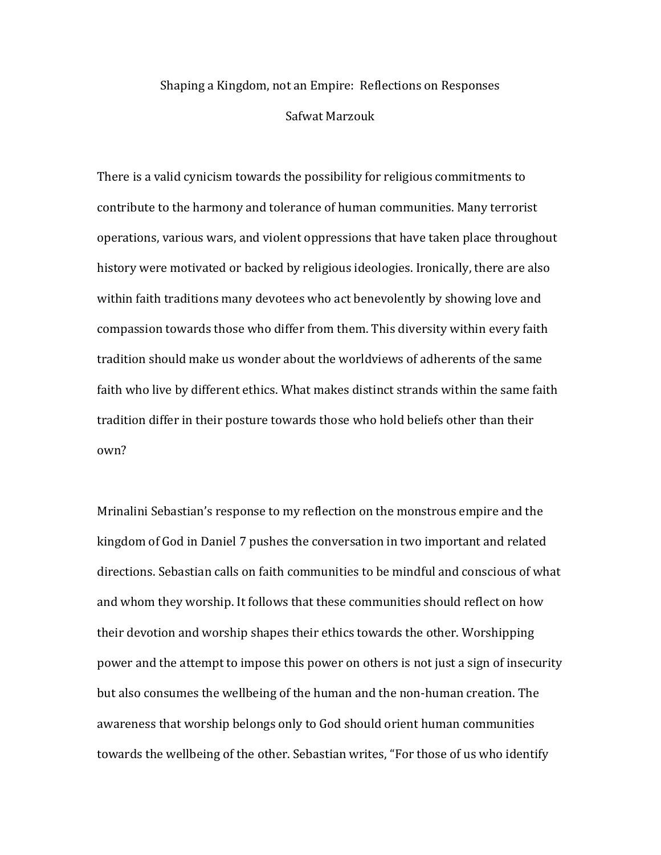## Shaping a Kingdom, not an Empire: Reflections on Responses Safwat Marzouk

There is a valid cynicism towards the possibility for religious commitments to contribute to the harmony and tolerance of human communities. Many terrorist operations, various wars, and violent oppressions that have taken place throughout history were motivated or backed by religious ideologies. Ironically, there are also within faith traditions many devotees who act benevolently by showing love and compassion towards those who differ from them. This diversity within every faith tradition should make us wonder about the worldviews of adherents of the same faith who live by different ethics. What makes distinct strands within the same faith tradition differ in their posture towards those who hold beliefs other than their own?

Mrinalini Sebastian's response to my reflection on the monstrous empire and the kingdom of God in Daniel 7 pushes the conversation in two important and related directions. Sebastian calls on faith communities to be mindful and conscious of what and whom they worship. It follows that these communities should reflect on how their devotion and worship shapes their ethics towards the other. Worshipping power and the attempt to impose this power on others is not just a sign of insecurity but also consumes the wellbeing of the human and the non-human creation. The awareness that worship belongs only to God should orient human communities towards the wellbeing of the other. Sebastian writes, "For those of us who identify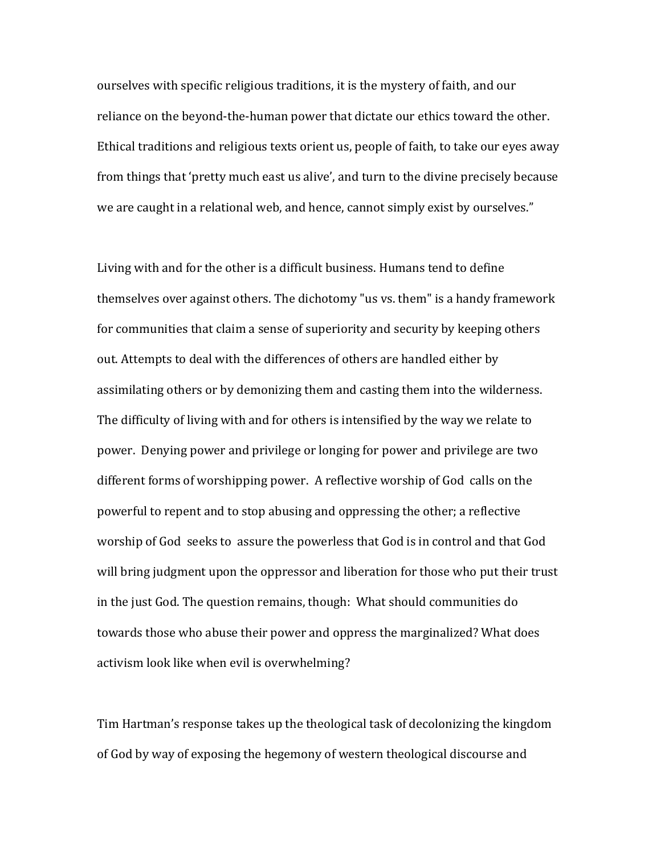ourselves with specific religious traditions, it is the mystery of faith, and our reliance on the beyond-the-human power that dictate our ethics toward the other. Ethical traditions and religious texts orient us, people of faith, to take our eyes away from things that 'pretty much east us alive', and turn to the divine precisely because we are caught in a relational web, and hence, cannot simply exist by ourselves."

Living with and for the other is a difficult business. Humans tend to define themselves over against others. The dichotomy "us vs. them" is a handy framework for communities that claim a sense of superiority and security by keeping others out. Attempts to deal with the differences of others are handled either by assimilating others or by demonizing them and casting them into the wilderness. The difficulty of living with and for others is intensified by the way we relate to power. Denying power and privilege or longing for power and privilege are two different forms of worshipping power. A reflective worship of God calls on the powerful to repent and to stop abusing and oppressing the other; a reflective worship of God seeks to assure the powerless that God is in control and that God will bring judgment upon the oppressor and liberation for those who put their trust in the just God. The question remains, though: What should communities do towards those who abuse their power and oppress the marginalized? What does activism look like when evil is overwhelming?

Tim Hartman's response takes up the theological task of decolonizing the kingdom of God by way of exposing the hegemony of western theological discourse and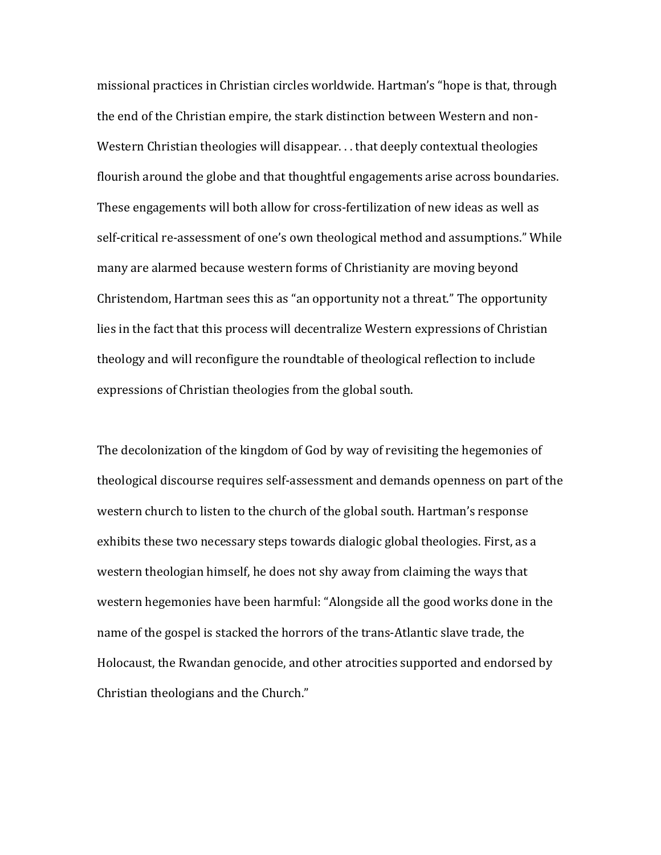missional practices in Christian circles worldwide. Hartman's "hope is that, through the end of the Christian empire, the stark distinction between Western and non-Western Christian theologies will disappear. . . that deeply contextual theologies flourish around the globe and that thoughtful engagements arise across boundaries. These engagements will both allow for cross-fertilization of new ideas as well as self-critical re-assessment of one's own theological method and assumptions." While many are alarmed because western forms of Christianity are moving beyond Christendom, Hartman sees this as "an opportunity not a threat." The opportunity lies in the fact that this process will decentralize Western expressions of Christian theology and will reconfigure the roundtable of theological reflection to include expressions of Christian theologies from the global south.

The decolonization of the kingdom of God by way of revisiting the hegemonies of theological discourse requires self-assessment and demands openness on part of the western church to listen to the church of the global south. Hartman's response exhibits these two necessary steps towards dialogic global theologies. First, as a western theologian himself, he does not shy away from claiming the ways that western hegemonies have been harmful: "Alongside all the good works done in the name of the gospel is stacked the horrors of the trans-Atlantic slave trade, the Holocaust, the Rwandan genocide, and other atrocities supported and endorsed by Christian theologians and the Church."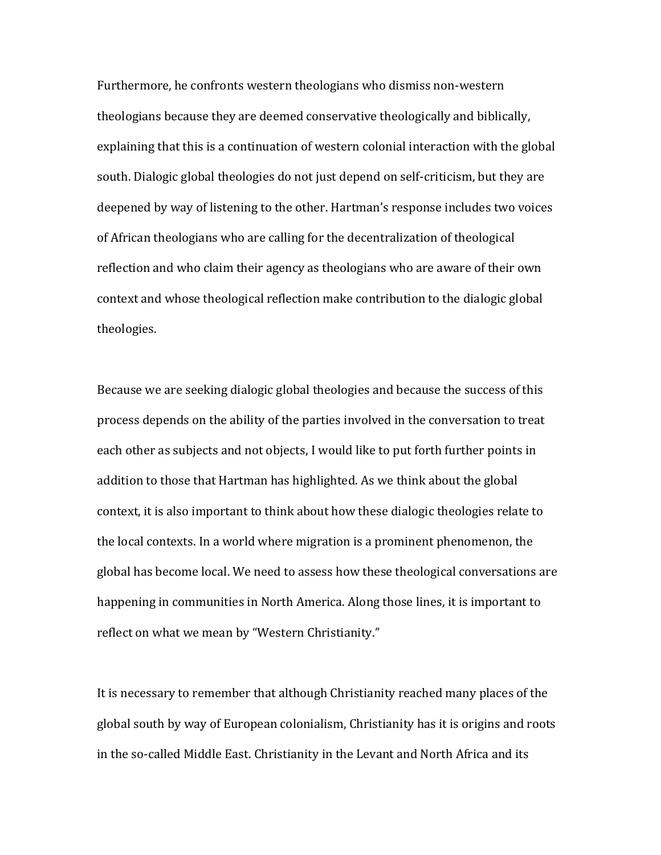Furthermore, he confronts western theologians who dismiss non-western theologians because they are deemed conservative theologically and biblically, explaining that this is a continuation of western colonial interaction with the global south. Dialogic global theologies do not just depend on self-criticism, but they are deepened by way of listening to the other. Hartman's response includes two voices of African theologians who are calling for the decentralization of theological reflection and who claim their agency as theologians who are aware of their own context and whose theological reflection make contribution to the dialogic global theologies.

Because we are seeking dialogic global theologies and because the success of this process depends on the ability of the parties involved in the conversation to treat each other as subjects and not objects, I would like to put forth further points in addition to those that Hartman has highlighted. As we think about the global context, it is also important to think about how these dialogic theologies relate to the local contexts. In a world where migration is a prominent phenomenon, the global has become local. We need to assess how these theological conversations are happening in communities in North America. Along those lines, it is important to reflect on what we mean by "Western Christianity."

It is necessary to remember that although Christianity reached many places of the global south by way of European colonialism, Christianity has it is origins and roots in the so-called Middle East. Christianity in the Levant and North Africa and its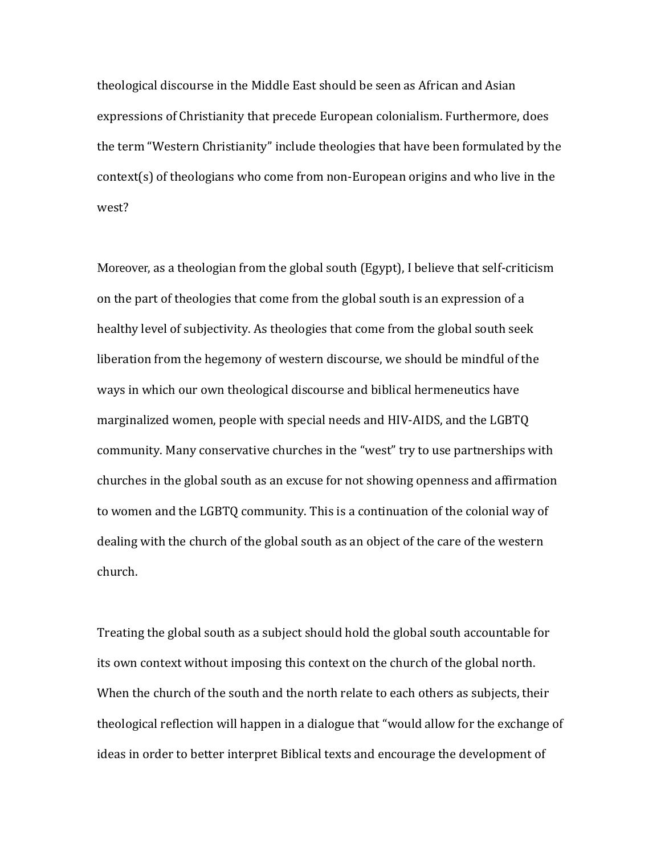theological discourse in the Middle East should be seen as African and Asian expressions of Christianity that precede European colonialism. Furthermore, does the term "Western Christianity" include theologies that have been formulated by the context(s) of theologians who come from non-European origins and who live in the west?

Moreover, as a theologian from the global south (Egypt), I believe that self-criticism on the part of theologies that come from the global south is an expression of a healthy level of subjectivity. As theologies that come from the global south seek liberation from the hegemony of western discourse, we should be mindful of the ways in which our own theological discourse and biblical hermeneutics have marginalized women, people with special needs and HIV-AIDS, and the LGBTQ community. Many conservative churches in the "west" try to use partnerships with churches in the global south as an excuse for not showing openness and affirmation to women and the LGBTQ community. This is a continuation of the colonial way of dealing with the church of the global south as an object of the care of the western church.

Treating the global south as a subject should hold the global south accountable for its own context without imposing this context on the church of the global north. When the church of the south and the north relate to each others as subjects, their theological reflection will happen in a dialogue that "would allow for the exchange of ideas in order to better interpret Biblical texts and encourage the development of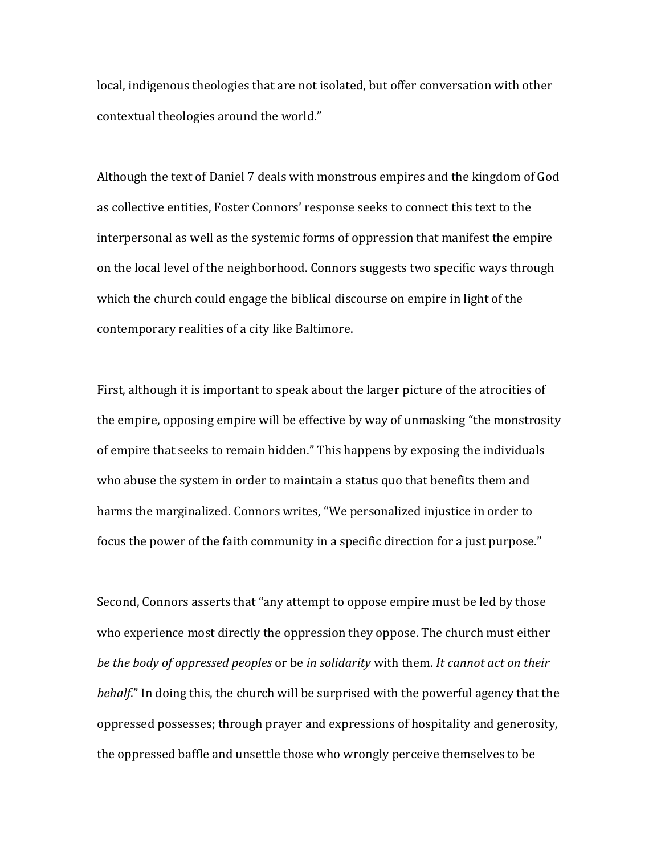local, indigenous theologies that are not isolated, but offer conversation with other contextual theologies around the world."

Although the text of Daniel 7 deals with monstrous empires and the kingdom of God as collective entities, Foster Connors' response seeks to connect this text to the interpersonal as well as the systemic forms of oppression that manifest the empire on the local level of the neighborhood. Connors suggests two specific ways through which the church could engage the biblical discourse on empire in light of the contemporary realities of a city like Baltimore.

First, although it is important to speak about the larger picture of the atrocities of the empire, opposing empire will be effective by way of unmasking "the monstrosity of empire that seeks to remain hidden." This happens by exposing the individuals who abuse the system in order to maintain a status quo that benefits them and harms the marginalized. Connors writes, "We personalized injustice in order to focus the power of the faith community in a specific direction for a just purpose."

Second, Connors asserts that "any attempt to oppose empire must be led by those who experience most directly the oppression they oppose. The church must either *be the body of oppressed peoples* or be *in solidarity* with them. *It cannot act on their behalf*." In doing this, the church will be surprised with the powerful agency that the oppressed possesses; through prayer and expressions of hospitality and generosity, the oppressed baffle and unsettle those who wrongly perceive themselves to be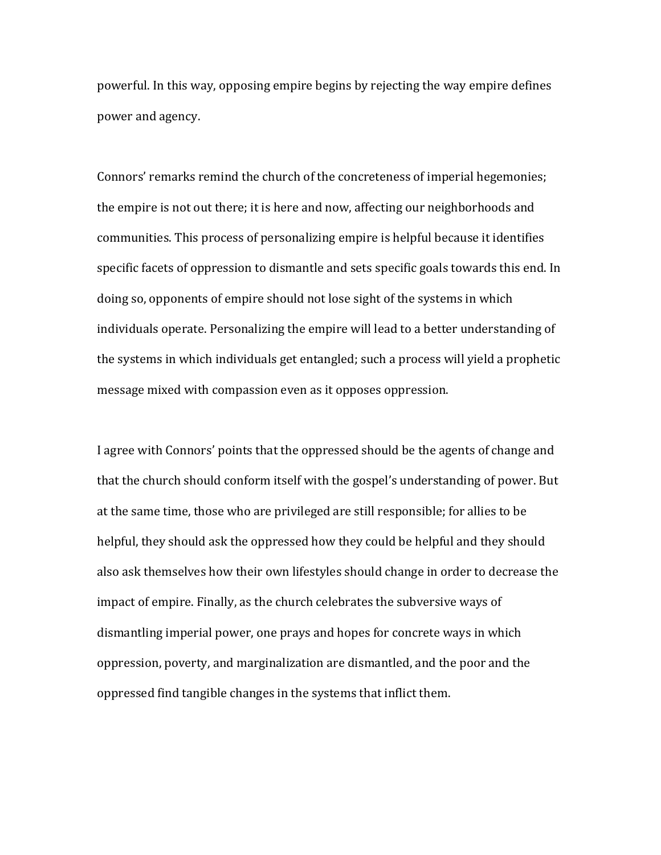powerful. In this way, opposing empire begins by rejecting the way empire defines power and agency.

Connors' remarks remind the church of the concreteness of imperial hegemonies; the empire is not out there; it is here and now, affecting our neighborhoods and communities. This process of personalizing empire is helpful because it identifies specific facets of oppression to dismantle and sets specific goals towards this end. In doing so, opponents of empire should not lose sight of the systems in which individuals operate. Personalizing the empire will lead to a better understanding of the systems in which individuals get entangled; such a process will yield a prophetic message mixed with compassion even as it opposes oppression.

I agree with Connors' points that the oppressed should be the agents of change and that the church should conform itself with the gospel's understanding of power. But at the same time, those who are privileged are still responsible; for allies to be helpful, they should ask the oppressed how they could be helpful and they should also ask themselves how their own lifestyles should change in order to decrease the impact of empire. Finally, as the church celebrates the subversive ways of dismantling imperial power, one prays and hopes for concrete ways in which oppression, poverty, and marginalization are dismantled, and the poor and the oppressed find tangible changes in the systems that inflict them.